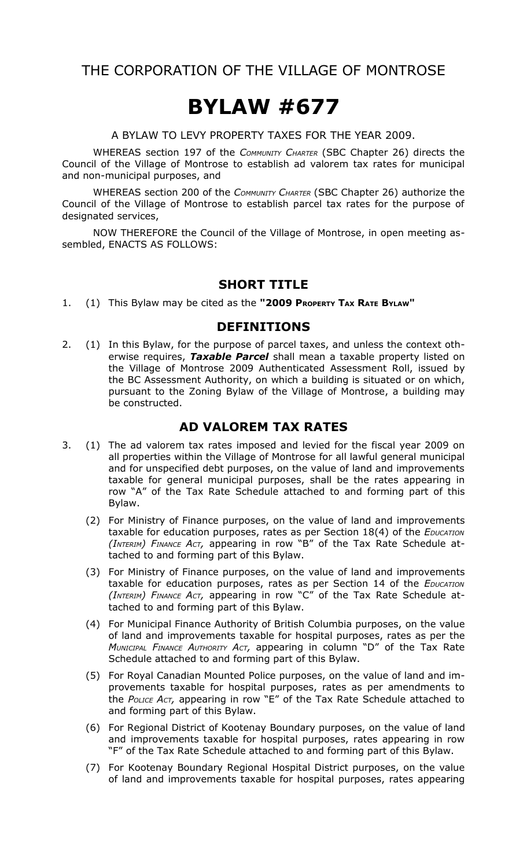# THE CORPORATION OF THE VILLAGE OF MONTROSE

# **BYLAW #677**

A BYLAW TO LEVY PROPERTY TAXES FOR THE YEAR 2009.

WHEREAS section 197 of the *COMMUNITY CHARTER* (SBC Chapter 26) directs the Council of the Village of Montrose to establish ad valorem tax rates for municipal and non-municipal purposes, and

WHEREAS section 200 of the *COMMUNITY CHARTER* (SBC Chapter 26) authorize the Council of the Village of Montrose to establish parcel tax rates for the purpose of designated services,

NOW THEREFORE the Council of the Village of Montrose, in open meeting assembled, ENACTS AS FOLLOWS:

#### **SHORT TITLE**

1. (1) This Bylaw may be cited as the **"2009 PROPERTY TAX RATE BYLAW"**

#### **DEFINITIONS**

2. (1) In this Bylaw, for the purpose of parcel taxes, and unless the context otherwise requires, *Taxable Parcel* shall mean a taxable property listed on the Village of Montrose 2009 Authenticated Assessment Roll, issued by the BC Assessment Authority, on which a building is situated or on which, pursuant to the Zoning Bylaw of the Village of Montrose, a building may be constructed.

## **AD VALOREM TAX RATES**

- 3. (1) The ad valorem tax rates imposed and levied for the fiscal year 2009 on all properties within the Village of Montrose for all lawful general municipal and for unspecified debt purposes, on the value of land and improvements taxable for general municipal purposes, shall be the rates appearing in row "A" of the Tax Rate Schedule attached to and forming part of this Bylaw.
	- (2) For Ministry of Finance purposes, on the value of land and improvements taxable for education purposes, rates as per Section 18(4) of the *EDUCATION (INTERIM) FINANCE ACT,* appearing in row "B" of the Tax Rate Schedule attached to and forming part of this Bylaw.
	- (3) For Ministry of Finance purposes, on the value of land and improvements taxable for education purposes, rates as per Section 14 of the *EDUCATION (INTERIM) FINANCE ACT,* appearing in row "C" of the Tax Rate Schedule attached to and forming part of this Bylaw.
	- (4) For Municipal Finance Authority of British Columbia purposes, on the value of land and improvements taxable for hospital purposes, rates as per the *MUNICIPAL FINANCE AUTHORITY ACT,* appearing in column "D" of the Tax Rate Schedule attached to and forming part of this Bylaw.
	- (5) For Royal Canadian Mounted Police purposes, on the value of land and improvements taxable for hospital purposes, rates as per amendments to the *POLICE ACT,* appearing in row "E" of the Tax Rate Schedule attached to and forming part of this Bylaw.
	- (6) For Regional District of Kootenay Boundary purposes, on the value of land and improvements taxable for hospital purposes, rates appearing in row "F" of the Tax Rate Schedule attached to and forming part of this Bylaw.
	- (7) For Kootenay Boundary Regional Hospital District purposes, on the value of land and improvements taxable for hospital purposes, rates appearing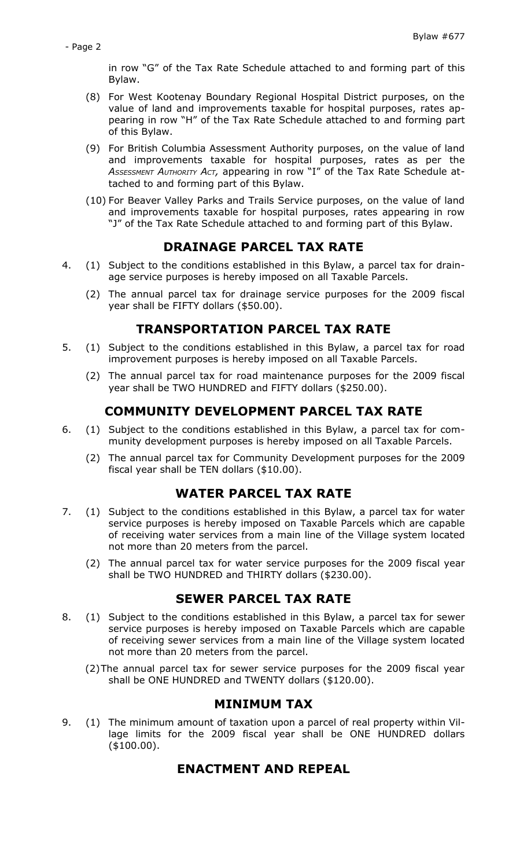in row "G" of the Tax Rate Schedule attached to and forming part of this Bylaw.

- (8) For West Kootenay Boundary Regional Hospital District purposes, on the value of land and improvements taxable for hospital purposes, rates appearing in row "H" of the Tax Rate Schedule attached to and forming part of this Bylaw.
- (9) For British Columbia Assessment Authority purposes, on the value of land and improvements taxable for hospital purposes, rates as per the *ASSESSMENT AUTHORITY ACT,* appearing in row "I" of the Tax Rate Schedule attached to and forming part of this Bylaw.
- (10) For Beaver Valley Parks and Trails Service purposes, on the value of land and improvements taxable for hospital purposes, rates appearing in row "J" of the Tax Rate Schedule attached to and forming part of this Bylaw.

#### **DRAINAGE PARCEL TAX RATE**

- 4. (1) Subject to the conditions established in this Bylaw, a parcel tax for drainage service purposes is hereby imposed on all Taxable Parcels.
	- (2) The annual parcel tax for drainage service purposes for the 2009 fiscal year shall be FIFTY dollars (\$50.00).

#### **TRANSPORTATION PARCEL TAX RATE**

- 5. (1) Subject to the conditions established in this Bylaw, a parcel tax for road improvement purposes is hereby imposed on all Taxable Parcels.
	- (2) The annual parcel tax for road maintenance purposes for the 2009 fiscal year shall be TWO HUNDRED and FIFTY dollars (\$250.00).

# **COMMUNITY DEVELOPMENT PARCEL TAX RATE**

- 6. (1) Subject to the conditions established in this Bylaw, a parcel tax for community development purposes is hereby imposed on all Taxable Parcels.
	- (2) The annual parcel tax for Community Development purposes for the 2009 fiscal year shall be TEN dollars (\$10.00).

#### **WATER PARCEL TAX RATE**

- 7. (1) Subject to the conditions established in this Bylaw, a parcel tax for water service purposes is hereby imposed on Taxable Parcels which are capable of receiving water services from a main line of the Village system located not more than 20 meters from the parcel.
	- (2) The annual parcel tax for water service purposes for the 2009 fiscal year shall be TWO HUNDRED and THIRTY dollars (\$230.00).

#### **SEWER PARCEL TAX RATE**

- 8. (1) Subject to the conditions established in this Bylaw, a parcel tax for sewer service purposes is hereby imposed on Taxable Parcels which are capable of receiving sewer services from a main line of the Village system located not more than 20 meters from the parcel.
	- (2)The annual parcel tax for sewer service purposes for the 2009 fiscal year shall be ONE HUNDRED and TWENTY dollars (\$120.00).

#### **MINIMUM TAX**

9. (1) The minimum amount of taxation upon a parcel of real property within Village limits for the 2009 fiscal year shall be ONE HUNDRED dollars (\$100.00).

## **ENACTMENT AND REPEAL**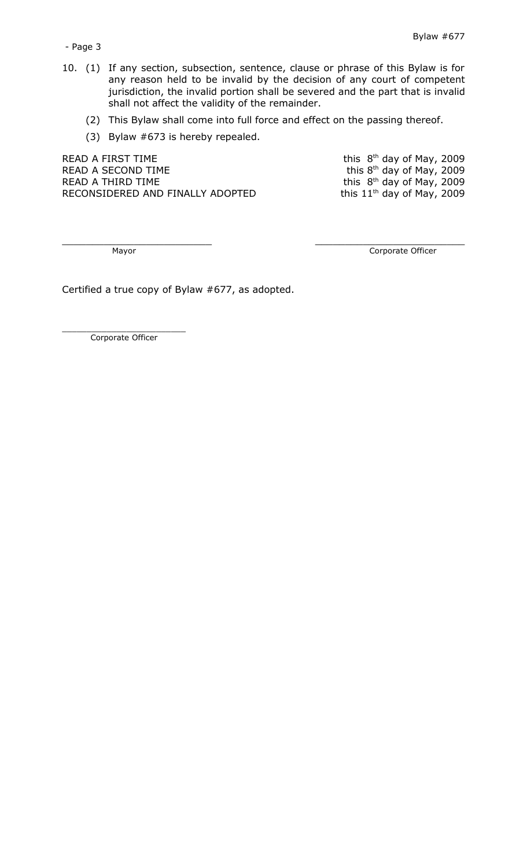- 10. (1) If any section, subsection, sentence, clause or phrase of this Bylaw is for any reason held to be invalid by the decision of any court of competent jurisdiction, the invalid portion shall be severed and the part that is invalid shall not affect the validity of the remainder.
	- (2) This Bylaw shall come into full force and effect on the passing thereof.

 $\frac{1}{2}$  ,  $\frac{1}{2}$  ,  $\frac{1}{2}$  ,  $\frac{1}{2}$  ,  $\frac{1}{2}$  ,  $\frac{1}{2}$  ,  $\frac{1}{2}$  ,  $\frac{1}{2}$  ,  $\frac{1}{2}$  ,  $\frac{1}{2}$  ,  $\frac{1}{2}$  ,  $\frac{1}{2}$  ,  $\frac{1}{2}$  ,  $\frac{1}{2}$  ,  $\frac{1}{2}$  ,  $\frac{1}{2}$  ,  $\frac{1}{2}$  ,  $\frac{1}{2}$  ,  $\frac{1$ 

(3) Bylaw #673 is hereby repealed.

READ A FIRST TIME  $R<sup>th</sup>$  day of May, 2009 READ A SECOND TIME  $R$  and  $\mathbb{R}^{th}$  day of May, 2009 READ A THIRD TIME  $RED$  and  $RED$  and  $RED$  and  $RED$  and  $RED$  and  $RED$  and  $RED$  and  $RED$  and  $RED$  and  $RED$  and  $RED$  and  $RDE$  and  $RDE$  and  $RDE$  and  $RDE$  and  $RDE$  and  $RDE$  and  $RDE$  and  $RDE$  and  $RDE$  and  $RDE$  and  $RDE$  and  $RDE$  RECONSIDERED AND FINALLY ADOPTED

Mayor **Community** Corporate Officer

Certified a true copy of Bylaw #677, as adopted.

\_\_\_\_\_\_\_\_\_\_\_\_\_\_\_\_\_\_\_\_\_\_\_\_\_ Corporate Officer